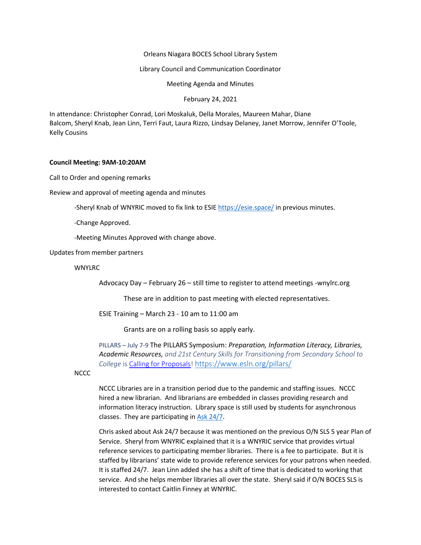Orleans Niagara BOCES School Library System

Library Council and Communication Coordinator

Meeting Agenda and Minutes

February 24, 2021

In attendance: Christopher Conrad, Lori Moskaluk, Della Morales, Maureen Mahar, Diane Balcom, Sheryl Knab, Jean Linn, Terri Faut, Laura Rizzo, Lindsay Delaney, Janet Morrow, Jennifer O'Toole, Kelly Cousins

#### **Council Meeting: 9AM-10:20AM**

Call to Order and opening remarks

Review and approval of meeting agenda and minutes

-Sheryl Knab of WNYRIC moved to fix link to ESIE<https://esie.space/> in previous minutes.

-Change Approved.

-Meeting Minutes Approved with change above.

Updates from member partners

WNYLR<sub>C</sub>

Advocacy Day – February 26 – still time to register to attend meetings -wnylrc.org

These are in addition to past meeting with elected representatives.

ESIE Training – March 23 - 10 am to 11:00 am

Grants are on a rolling basis so apply early.

PILLARS – July 7-9 The PILLARS Symposium: *Preparation, Information Literacy, Libraries, Academic Resources, and 21st Century Skills for Transitioning from Secondary School to College* is [Calling for Proposals!](https://docs.google.com/forms/d/e/1FAIpQLSeEciRsPp1VsGjEheMOwHrA2Cnfb4aLjk6hOByUtc39hkc2ew/viewform?usp=sf_link) <https://www.esln.org/pillars/>

NCCC

NCCC Libraries are in a transition period due to the pandemic and staffing issues. NCCC hired a new librarian. And librarians are embedded in classes providing research and information literacy instruction. Library space is still used by students for asynchronous classes. They are participating i[n Ask 24/7.](https://www.wnylrc.org/ask-us-247)

Chris asked about Ask 24/7 because it was mentioned on the previous O/N SLS 5 year Plan of Service. Sheryl from WNYRIC explained that it is a WNYRIC service that provides virtual reference services to participating member libraries. There is a fee to participate. But it is staffed by librarians' state wide to provide reference services for your patrons when needed. It is staffed 24/7. Jean Linn added she has a shift of time that is dedicated to working that service. And she helps member libraries all over the state. Sheryl said if O/N BOCES SLS is interested to contact Caitlin Finney at WNYRIC.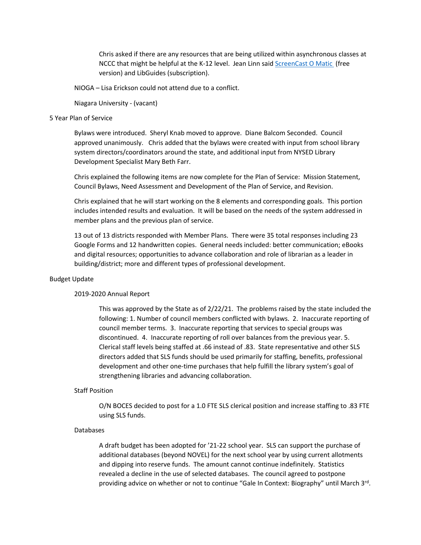Chris asked if there are any resources that are being utilized within asynchronous classes at NCCC that might be helpful at the K-12 level. Jean Linn said [ScreenCast O Matic](https://screencast-o-matic.com/) (free version) and LibGuides (subscription).

NIOGA – Lisa Erickson could not attend due to a conflict.

Niagara University - (vacant)

## 5 Year Plan of Service

Bylaws were introduced. Sheryl Knab moved to approve. Diane Balcom Seconded. Council approved unanimously. Chris added that the bylaws were created with input from school library system directors/coordinators around the state, and additional input from NYSED Library Development Specialist Mary Beth Farr.

Chris explained the following items are now complete for the Plan of Service: Mission Statement, Council Bylaws, Need Assessment and Development of the Plan of Service, and Revision.

Chris explained that he will start working on the 8 elements and corresponding goals. This portion includes intended results and evaluation. It will be based on the needs of the system addressed in member plans and the previous plan of service.

13 out of 13 districts responded with Member Plans. There were 35 total responses including 23 Google Forms and 12 handwritten copies. General needs included: better communication; eBooks and digital resources; opportunities to advance collaboration and role of librarian as a leader in building/district; more and different types of professional development.

### Budget Update

## 2019-2020 Annual Report

This was approved by the State as of 2/22/21. The problems raised by the state included the following: 1. Number of council members conflicted with bylaws. 2. Inaccurate reporting of council member terms. 3. Inaccurate reporting that services to special groups was discontinued. 4. Inaccurate reporting of roll over balances from the previous year. 5. Clerical staff levels being staffed at .66 instead of .83. State representative and other SLS directors added that SLS funds should be used primarily for staffing, benefits, professional development and other one-time purchases that help fulfill the library system's goal of strengthening libraries and advancing collaboration.

### Staff Position

O/N BOCES decided to post for a 1.0 FTE SLS clerical position and increase staffing to .83 FTE using SLS funds.

### Databases

A draft budget has been adopted for '21-22 school year. SLS can support the purchase of additional databases (beyond NOVEL) for the next school year by using current allotments and dipping into reserve funds. The amount cannot continue indefinitely. Statistics revealed a decline in the use of selected databases. The council agreed to postpone providing advice on whether or not to continue "Gale In Context: Biography" until March 3rd.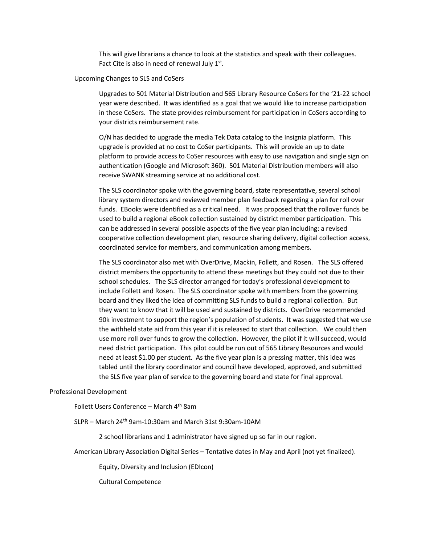This will give librarians a chance to look at the statistics and speak with their colleagues. Fact Cite is also in need of renewal July 1<sup>st</sup>.

### Upcoming Changes to SLS and CoSers

Upgrades to 501 Material Distribution and 565 Library Resource CoSers for the '21-22 school year were described. It was identified as a goal that we would like to increase participation in these CoSers. The state provides reimbursement for participation in CoSers according to your districts reimbursement rate.

O/N has decided to upgrade the media Tek Data catalog to the Insignia platform. This upgrade is provided at no cost to CoSer participants. This will provide an up to date platform to provide access to CoSer resources with easy to use navigation and single sign on authentication (Google and Microsoft 360). 501 Material Distribution members will also receive SWANK streaming service at no additional cost.

The SLS coordinator spoke with the governing board, state representative, several school library system directors and reviewed member plan feedback regarding a plan for roll over funds. EBooks were identified as a critical need. It was proposed that the rollover funds be used to build a regional eBook collection sustained by district member participation. This can be addressed in several possible aspects of the five year plan including: a revised cooperative collection development plan, resource sharing delivery, digital collection access, coordinated service for members, and communication among members.

The SLS coordinator also met with OverDrive, Mackin, Follett, and Rosen. The SLS offered district members the opportunity to attend these meetings but they could not due to their school schedules. The SLS director arranged for today's professional development to include Follett and Rosen. The SLS coordinator spoke with members from the governing board and they liked the idea of committing SLS funds to build a regional collection. But they want to know that it will be used and sustained by districts. OverDrive recommended 90k investment to support the region's population of students. It was suggested that we use the withheld state aid from this year if it is released to start that collection. We could then use more roll over funds to grow the collection. However, the pilot if it will succeed, would need district participation. This pilot could be run out of 565 Library Resources and would need at least \$1.00 per student. As the five year plan is a pressing matter, this idea was tabled until the library coordinator and council have developed, approved, and submitted the SLS five year plan of service to the governing board and state for final approval.

#### Professional Development

Follett Users Conference - March 4<sup>th</sup> 8am

### SLPR – March 24th 9am-10:30am and March 31st 9:30am-10AM

2 school librarians and 1 administrator have signed up so far in our region.

American Library Association Digital Series – Tentative dates in May and April (not yet finalized).

Equity, Diversity and Inclusion (EDIcon)

Cultural Competence